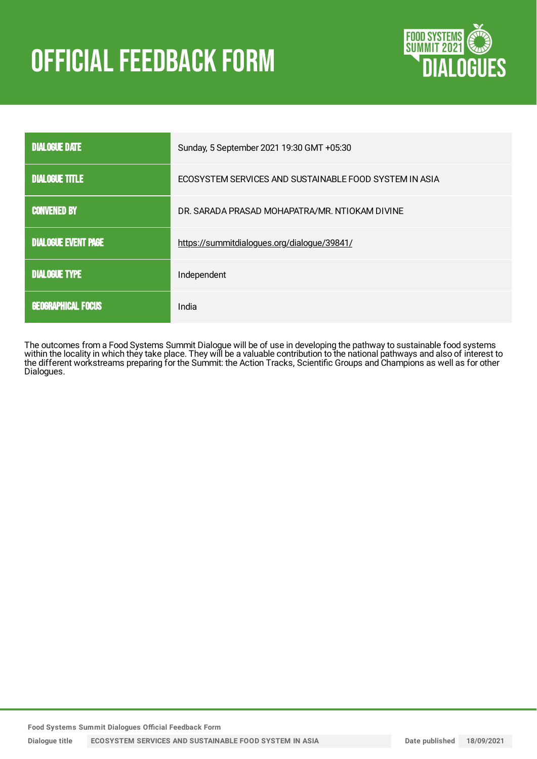# **OFFICIAL FEEDBACK FORM**



| <b>DIALOGUE DATE</b>       | Sunday, 5 September 2021 19:30 GMT +05:30              |
|----------------------------|--------------------------------------------------------|
| <b>DIALOGUE TITLE</b>      | ECOSYSTEM SERVICES AND SUSTAINABLE FOOD SYSTEM IN ASIA |
| <b>CONVENED BY</b>         | DR. SARADA PRASAD MOHAPATRA/MR. NTIOKAM DIVINE         |
| <b>DIALOGUE EVENT PAGE</b> | https://summitdialogues.org/dialogue/39841/            |
| <b>DIALOGUE TYPE</b>       | Independent                                            |
| <b>GEOGRAPHICAL FOCUS</b>  | India                                                  |

The outcomes from a Food Systems Summit Dialogue will be of use in developing the pathway to sustainable food systems within the locality in which they take place. They will be a valuable contribution to the national pathways and also of interest to the different workstreams preparing for the Summit: the Action Tracks, Scientific Groups and Champions as well as for other Dialogues.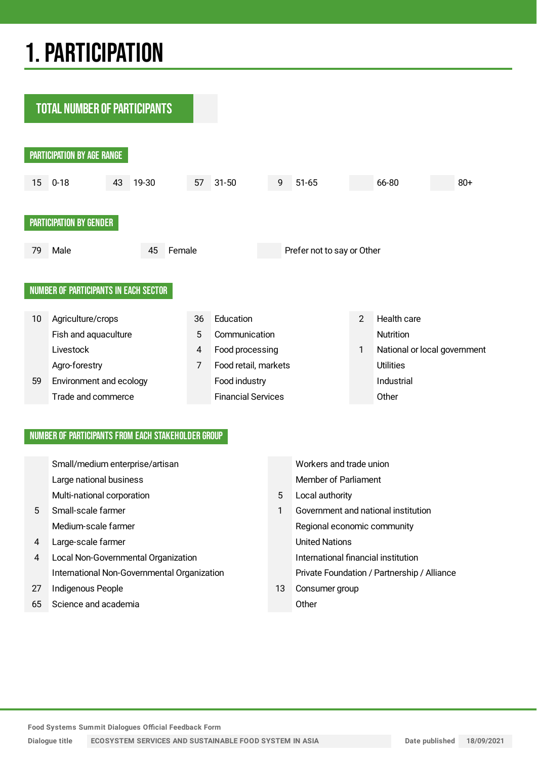## 1.PARTICIPATION

**TOTAL NUMBER OF PARTICIPANTS** PARTICIPATION BY AGE RANGE 15 0-18 43 19-30 57 31-50 9 51-65 66-80 80+ PARTICIPATION BY GENDER 79 Male 45 Female Prefer not to say or Other NUMBER OF PARTICIPANTS IN EACH SECTOR 10 Agriculture/crops 36 Education 2 Health care Fish and aquaculture **5** Communication **Communication** Nutrition Livestock **4 Food processing 1 National or local government** Agro-forestry **7** Food retail, markets Utilities 59 Environment and ecology **Food industry** Food industry **Industrial** Trade and commerce **Financial Services** Changes Other

### NUMBER OF PARTICIPANTS FROM EACH STAKEHOLDER GROUP

|             | Small/medium enterprise/artisan             |    | Workers and trade union                     |
|-------------|---------------------------------------------|----|---------------------------------------------|
|             | Large national business                     |    | Member of Parliament                        |
|             | Multi-national corporation                  | 5  | Local authority                             |
| $5^{\circ}$ | Small-scale farmer                          | 1  | Government and national institution         |
|             | Medium-scale farmer                         |    | Regional economic community                 |
| 4           | Large-scale farmer                          |    | <b>United Nations</b>                       |
| 4           | Local Non-Governmental Organization         |    | International financial institution         |
|             | International Non-Governmental Organization |    | Private Foundation / Partnership / Alliance |
| 27          | Indigenous People                           | 13 | Consumer group                              |
| 65          | Science and academia                        |    | Other                                       |

**Food Systems Summit Dialogues Official Feedback Form**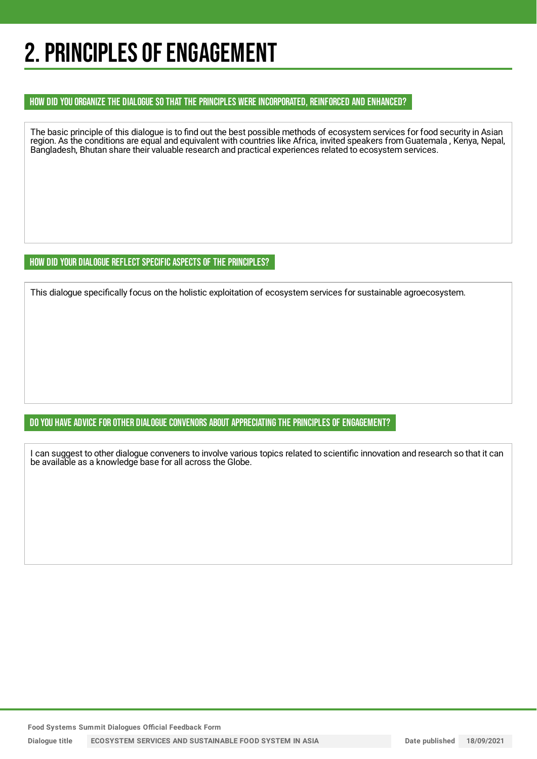## 2. PRINCIPLES OF ENGAGEMENT

### HOW DID YOU ORGANIZE THE DIALOGUE SO THAT THE PRINCIPLES WERE INCORPORATED, REINFORCED AND ENHANCED?

The basic principle of this dialogue is to find out the best possible methods of ecosystem services for food security in Asian region. As the conditions are equal and equivalent with countries like Africa, invited speakers from Guatemala , Kenya, Nepal, Bangladesh, Bhutan share their valuable research and practical experiences related to ecosystem services.

### HOW DID YOUR DIALOGUE REFLECT SPECIFIC ASPECTS OF THE PRINCIPLES?

This dialogue specifically focus on the holistic exploitation of ecosystem services for sustainable agroecosystem.

## DO YOU HAVE ADVICE FOR OTHER DIALOGUE CONVENORS ABOUT APPRECIATING THE PRINCIPLES OF ENGAGEMENT?

I can suggest to other dialogue conveners to involve various topics related to scientific innovation and research so that it can be available as a knowledge base for all across the Globe.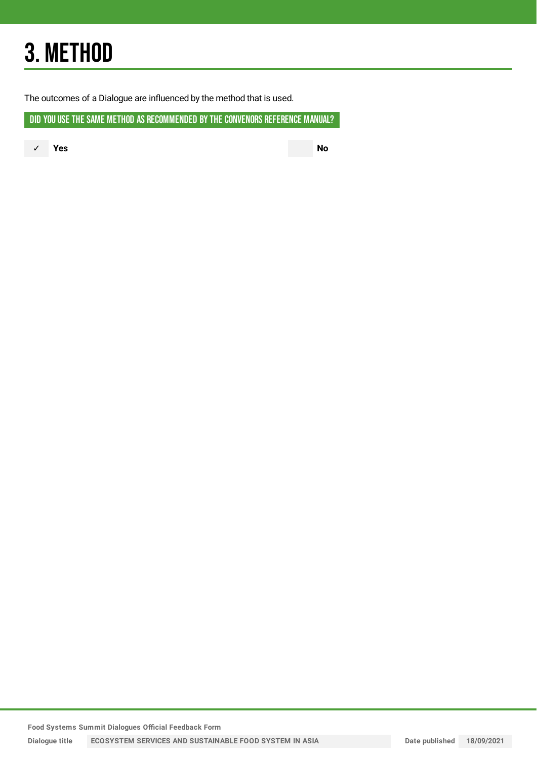## 3. METHOD

The outcomes of a Dialogue are influenced by the method that is used.

DID YOU USE THE SAME METHOD AS RECOMMENDED BY THE CONVENORS REFERENCE MANUAL?

✓ **Yes No**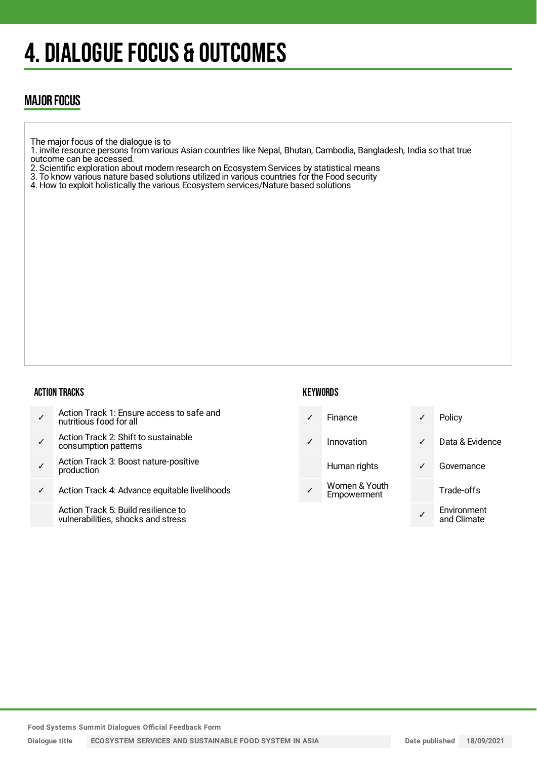## 4. DIALOGUE FOCUS & OUTCOMES

## MAJOR FOCUS

- The major focus of the dialogue is to
- 1. invite resource persons from various Asian countries like Nepal, Bhutan, Cambodia, Bangladesh, India so that true outcome can be accessed.
- 2. Scientific exploration about modern research on Ecosystem Services by statistical means
- 3. To know various nature based solutions utilized in various countries for the Food security
- 4. How to exploit holistically the various Ecosystem services/Nature based solutions

### ACTION TRACKS

## **KEYWORDS**

- ✓ Action Track 1: Ensure access to safe and nutritious food for all
- ✓ Action Track 2: Shift to sustainable consumption patterns
- ✓ Action Track 3: Boost nature-positive production
- ✓ Action Track 4: Advance equitable livelihoods

Action Track 5: Build resilience to vulnerabilities, shocks and stress

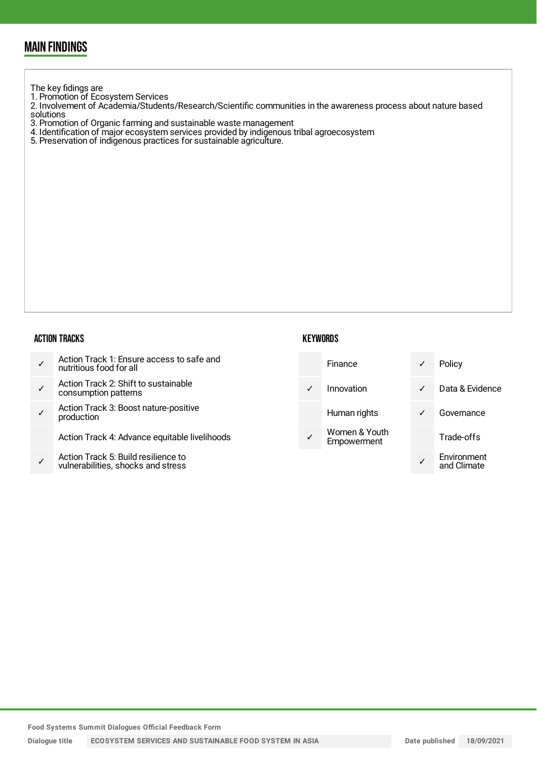## MAIN FINDINGS

The key fidings are

1. Promotion of Ecosystem Services

2. Involvement of Academia/Students/Research/Scientific communities in the awareness process about nature based solutions

- 3. Promotion of Organic farming and sustainable waste management
- 4. Identification of major ecosystem services provided by indigenous tribal agroecosystem
- 5. Preservation of indigenous practices for sustainable agriculture.

#### ACTION TRACKS

|  | Action Track 1: Ensure access to safe and<br>nutritious food for all |
|--|----------------------------------------------------------------------|
|--|----------------------------------------------------------------------|

- ✓ Action Track 2: Shift to sustainable consumption patterns
- ✓ Action Track 3: Boost nature-positive production

Action Track 4: Advance equitable livelihoods

✓ Action Track 5: Build resilience to vulnerabilities, shocks and stress

**KEYWORDS** 

| Finance                      |   | Policy                     |
|------------------------------|---|----------------------------|
| Innovation                   | ✓ | Data & Evidence            |
| Human rights                 |   | Governance                 |
| Women & Youth<br>Empowerment |   | Trade-offs                 |
|                              |   | Environment<br>and Climate |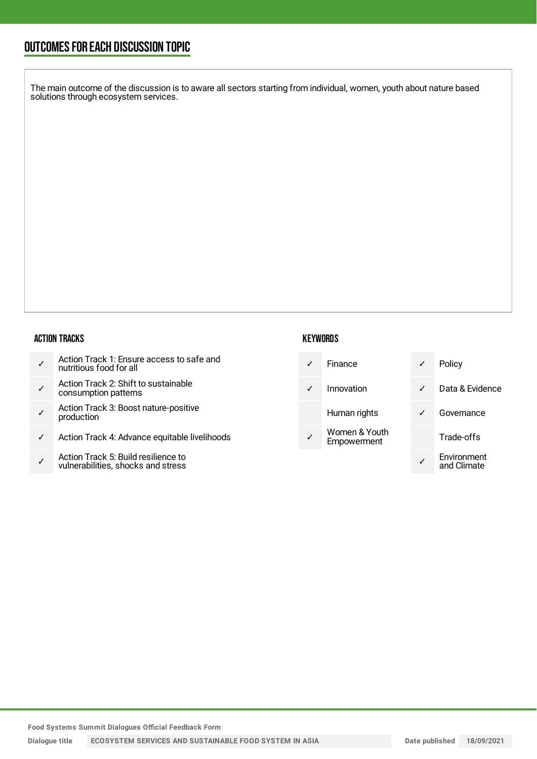## OUTCOMESFOR EACH DISCUSSION TOPIC

The main outcome of the discussion is to aware all sectors starting from individual, women, youth about nature based solutions through ecosystem services.

#### ACTION TRACKS

- ✓ Action Track 2: Shift to sustainable consumption patterns
- ✓ Action Track 3: Boost nature-positive production
- ✓ Action Track 4: Advance equitable livelihoods
- ✓ Action Track 5: Build resilience to vulnerabilities, shocks and stress

### **KEYWORDS**

|  | Finance                      | Policy                     |
|--|------------------------------|----------------------------|
|  | Innovation                   | Data & Evidence            |
|  | Human rights                 | Governance                 |
|  | Women & Youth<br>Empowerment | Trade-offs                 |
|  |                              | Environment<br>and Climata |

**Dialogue title ECOSYSTEM SERVICES AND SUSTAINABLE FOOD SYSTEM IN ASIA Date published 18/09/2021**

and Climate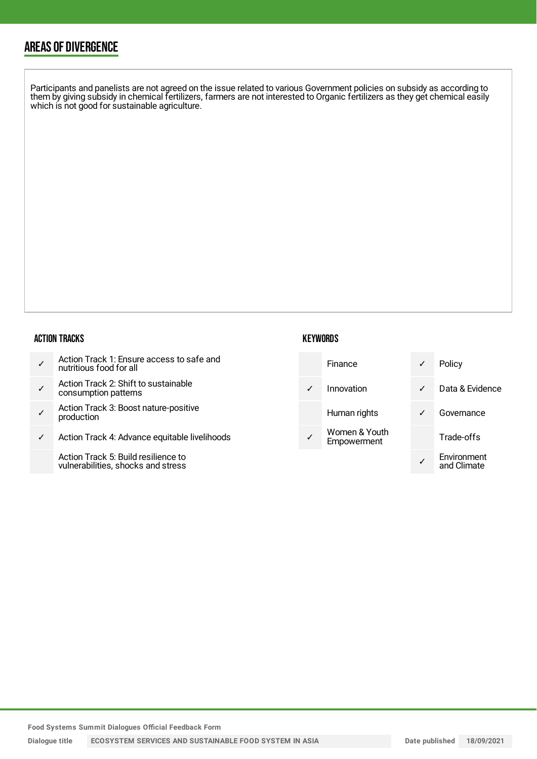## AREAS OF DIVERGENCE

Participants and panelists are not agreed on the issue related to various Government policies on subsidy as according to them by giving subsidy in chemical fertilizers, farmers are not interested to Organic fertilizers as they get chemical easily which is not good for sustainable agriculture.

#### ACTION TRACKS

| nutritious food for all | Action Track 1: Ensure access to safe and |
|-------------------------|-------------------------------------------|
|-------------------------|-------------------------------------------|

- ✓ Action Track 2: Shift to sustainable consumption patterns
- ✓ Action Track 3: Boost nature-positive production
- ✓ Action Track 4: Advance equitable livelihoods

Action Track 5: Build resilience to vulnerabilities, shocks and stress

### **KEYWORDS**

| Finance                      |   | Policy                     |
|------------------------------|---|----------------------------|
| Innovation                   | ✓ | Data & Evidence            |
| Human rights                 |   | Governance                 |
| Women & Youth<br>Empowerment |   | Trade-offs                 |
|                              |   | Environment<br>and Climate |